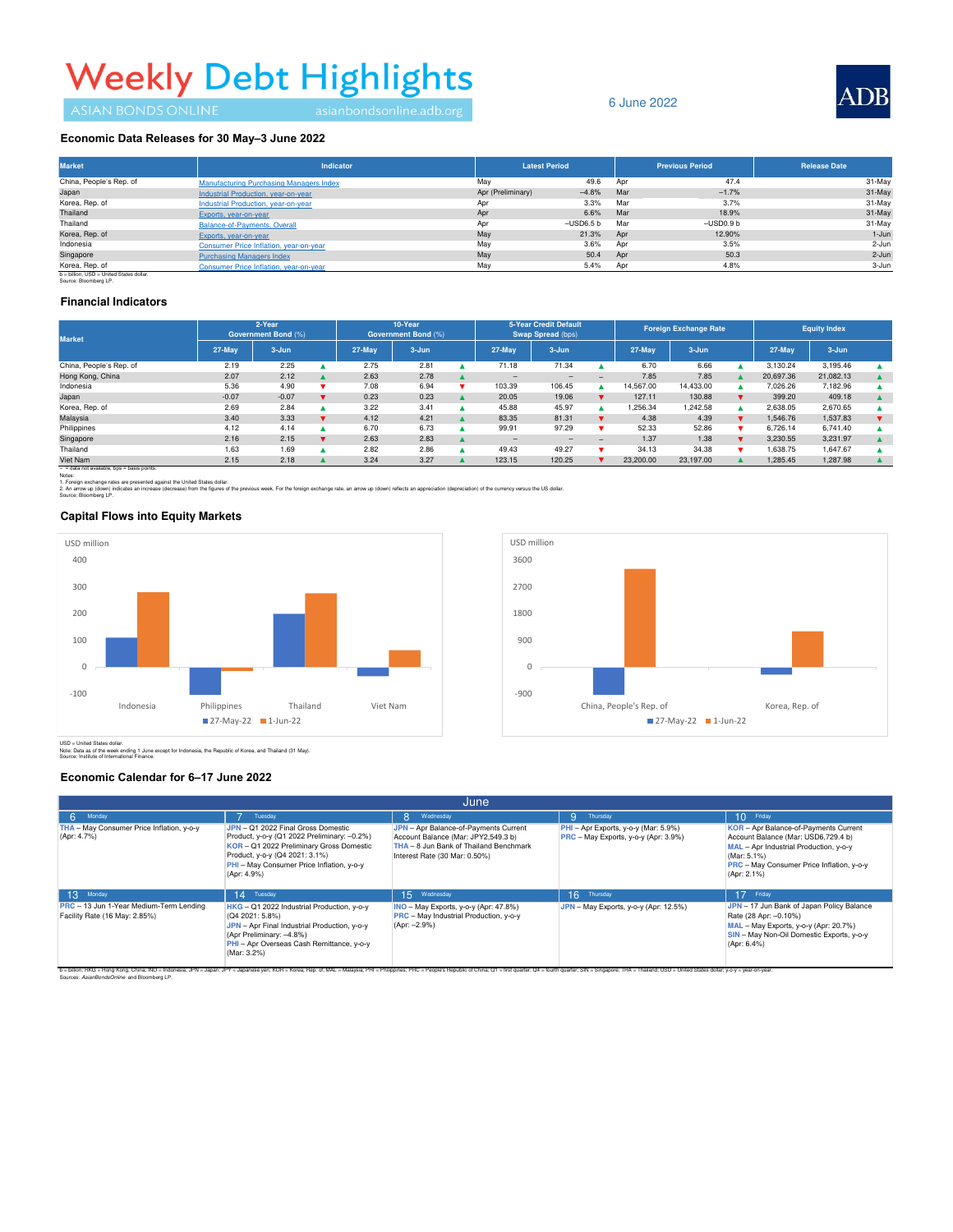# **Weekly Debt Highlights**

# 6 June 2022



#### Economic Data Releases for 30 May-3 June 2022

| <b>Market</b>                                                     | <b>Indicator</b>                               |                   | <b>Latest Period</b> |     | <b>Previous Period</b> | <b>Release Date</b> |  |
|-------------------------------------------------------------------|------------------------------------------------|-------------------|----------------------|-----|------------------------|---------------------|--|
| China, People's Rep. of                                           | <b>Manufacturing Purchasing Managers Index</b> | May               | 49.6                 | Apr | 47.4                   | 31-May              |  |
| Japan                                                             | Industrial Production, year-on-year            | Apr (Preliminary) | $-4.8%$              | Mar | $-1.7%$                | 31-May              |  |
| Korea, Rep. of                                                    | Industrial Production, year-on-year            | Apr               | 3.3%                 | Mar | 3.7%                   | 31-May              |  |
| Thailand                                                          | Exports, year-on-year                          | Apr               | 6.6%                 | Mar | 18.9%                  | 31-May              |  |
| Thailand                                                          | Balance-of-Payments, Overall                   | Apr               | $-$ USD6.5 $b$       | Mar | $-USD0.9b$             | 31-May              |  |
| Korea, Rep. of                                                    | Exports, year-on-year                          | May               | 21.3%                | Apr | 12.90%                 | $1 - Jun$           |  |
| Indonesia                                                         | Consumer Price Inflation, year-on-year         | May               | 3.6%                 | Apr | 3.5%                   | 2-Jun               |  |
| Singapore                                                         | <b>Purchasing Managers Index</b>               | May               | 50.4                 | Apr | 50.3                   | 2-Jun               |  |
| Korea, Rep. of                                                    | Consumer Price Inflation, year-on-year         | May               | 5.4%                 | Apr | 4.8%                   | 3-Jun               |  |
| b = billion, USD = United States dollar.<br>Source: Bloomberg LP. |                                                |                   |                      |     |                        |                     |  |

## **Financial Indicators**

| <b>Market</b>           | 2-Year<br><b>Government Bond (%)</b> |         | 10-Year<br>Government Bond (%) |            | 5-Year Credit Default<br>Swap Spread (bps) |  | <b>Foreign Exchange Rate</b> |           | <b>Equity Index</b>      |           |           |  |           |           |  |
|-------------------------|--------------------------------------|---------|--------------------------------|------------|--------------------------------------------|--|------------------------------|-----------|--------------------------|-----------|-----------|--|-----------|-----------|--|
|                         | 27-May                               | 3-Jun   |                                | $27 -$ May | 3-Jun                                      |  | 27-May                       | $3 - Jun$ |                          | 27-May    | $3 - Jun$ |  | 27-May    | $3 - Jun$ |  |
| China, People's Rep. of | 2.19                                 | 2.25    |                                | 2.75       | 2.81                                       |  | 71.18                        | 71.34     |                          | 6.70      | 6.66      |  | 3.130.24  | 3,195.46  |  |
| Hong Kong, China        | 2.07                                 | 2.12    |                                | 2.63       | 2.78                                       |  | $-$                          | -         | -                        | 7.85      | 7.85      |  | 20.697.36 | 21.082.13 |  |
| Indonesia               | 5.36                                 | 4.90    |                                | 7.08       | 6.94                                       |  | 103.39                       | 106.45    |                          | 14.567.00 | 14,433.00 |  | 7,026.26  | 7,182.96  |  |
| Japan                   | $-0.07$                              | $-0.07$ |                                | 0.23       | 0.23                                       |  | 20.05                        | 19.06     |                          | 127.11    | 130.88    |  | 399.20    | 409.18    |  |
| Korea, Rep. of          | 2.69                                 | 2.84    |                                | 3.22       | 3.41                                       |  | 45.88                        | 45.97     |                          | 1.256.34  | 1.242.58  |  | 2.638.05  | 2.670.65  |  |
| Malaysia                | 3.40                                 | 3.33    |                                | 4.12       | 4.21                                       |  | 83.35                        | 81.31     |                          | 4.38      | 4.39      |  | 1.546.76  | 1,537.83  |  |
| Philippines             | 4.12                                 | 4.14    |                                | 6.70       | 6.73                                       |  | 99.91                        | 97.29     |                          | 52.33     | 52.86     |  | 6.726.14  | 6.741.40  |  |
| Singapore               | 2.16                                 | 2.15    |                                | 2.63       | 2.83                                       |  | -                            | $-$       | $\overline{\phantom{0}}$ | 1.37      | 1.38      |  | 3.230.55  | 3.231.97  |  |
| Thailand                | 1.63                                 | 1.69    |                                | 2.82       | 2.86                                       |  | 49.43                        | 49.27     |                          | 34.13     | 34.38     |  | .638.75   | 1.647.67  |  |
| Viet Nam                | 2.15                                 | 2.18    |                                | 3.24       | 3.27                                       |  | 123.15                       | 120.25    |                          | 23,200,00 | 23,197.00 |  | 1.285.45  | 1.287.98  |  |

– = data not available, bps = basis points.

1. Foreign exchange rates are presented against the United States dollar.<br>2. An arrow up (down) indicates an increase (decrease) from the figures of the previous week. For the foreign exchange rate, an arrow up (down) refl 1. Foreig<br>2. An an Source: Bloomberg LP.

#### **Capital Flows into Equity Markets**





USD = United States dollar.<br>Note: Data as of the week ending 1 June except for Indonesia, the Republic of Korea, and Thailand (31 May). Source: Institute of International Finance.

### **Economic Calendar for 6–17 June 2022**

| June                                                                     |                                                                                                                                                                                                                             |                                                                                                                                                         |                                                                              |                                                                                                                                                                                                          |  |  |  |  |  |
|--------------------------------------------------------------------------|-----------------------------------------------------------------------------------------------------------------------------------------------------------------------------------------------------------------------------|---------------------------------------------------------------------------------------------------------------------------------------------------------|------------------------------------------------------------------------------|----------------------------------------------------------------------------------------------------------------------------------------------------------------------------------------------------------|--|--|--|--|--|
| Monday                                                                   | Tuesday                                                                                                                                                                                                                     | Wednesday<br>8.                                                                                                                                         | 9<br>Thursday                                                                | $10$ Friday                                                                                                                                                                                              |  |  |  |  |  |
| THA - May Consumer Price Inflation, y-o-y<br>(Apr: 4.7%)                 | JPN - Q1 2022 Final Gross Domestic<br>Product, y-o-y (Q1 2022 Preliminary: -0.2%)<br>KOR - Q1 2022 Preliminary Gross Domestic<br>Product, y-o-y (Q4 2021: 3.1%)<br>PHI - May Consumer Price Inflation, y-o-y<br>(Apr: 4.9%) | JPN - Apr Balance-of-Payments Current<br>Account Balance (Mar: JPY2,549.3 b)<br>THA - 8 Jun Bank of Thailand Benchmark<br>Interest Rate (30 Mar: 0.50%) | PHI - Apr Exports, y-o-y (Mar: 5.9%)<br>PRC - May Exports, y-o-y (Apr: 3.9%) | KOR - Apr Balance-of-Payments Current<br>Account Balance (Mar: USD6,729.4 b)<br>MAL - Apr Industrial Production, y-o-y<br>(Mar: 5.1%)<br><b>PRC</b> - May Consumer Price Inflation, y-o-y<br>(Apr: 2.1%) |  |  |  |  |  |
| 13<br>Monday                                                             | 14 Tuesday                                                                                                                                                                                                                  | 15 Wednesday                                                                                                                                            | 16 <sup>1</sup><br>Thursday                                                  | 17 Friday                                                                                                                                                                                                |  |  |  |  |  |
| PRC - 13 Jun 1-Year Medium-Term Lending<br>Facility Rate (16 May: 2.85%) | HKG - Q1 2022 Industrial Production, y-o-y<br>(Q4 2021: 5.8%)<br>JPN - Apr Final Industrial Production, y-o-y<br>(Apr Preliminary: -4.8%)<br>PHI - Apr Overseas Cash Remittance, y-o-y<br>(Mar: 3.2%)                       | INO - May Exports, y-o-y (Apr: 47.8%)<br>PRC - May Industrial Production, y-o-y<br>$(Apr: -2.9%)$                                                       | JPN - May Exports, y-o-y (Apr: 12.5%)                                        | JPN - 17 Jun Bank of Japan Policy Balance<br>Rate (28 Apr: -0.10%)<br>MAL - May Exports, y-o-y (Apr: 20.7%)<br>SIN - May Non-Oil Domestic Exports, y-o-y<br>$(Apr: 6.4\%)$                               |  |  |  |  |  |

b – blion; HKG + Forg Kong, Dr. Man Holones; JPN = Japan, JPY = Japanes yer; KON = Korea, Hep. of; MAL = Malaysia; PH = Philippnes; PHC = People's Republic Ohina; Cl = First quarter; SIN = Singapore; THA = Thalland; USD =